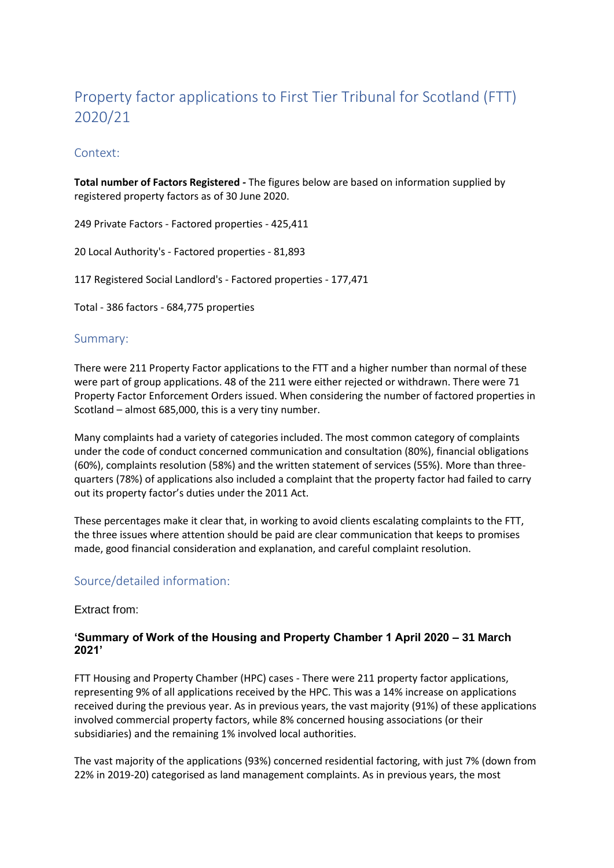# Property factor applications to First Tier Tribunal for Scotland (FTT) 2020/21

## Context:

**Total number of Factors Registered** *-* The figures below are based on information supplied by registered property factors as of 30 June 2020.

249 Private Factors - Factored properties - 425,411

20 Local Authority's - Factored properties - 81,893

117 Registered Social Landlord's - Factored properties - 177,471

Total - 386 factors - 684,775 properties

## Summary:

There were 211 Property Factor applications to the FTT and a higher number than normal of these were part of group applications. 48 of the 211 were either rejected or withdrawn. There were 71 Property Factor Enforcement Orders issued. When considering the number of factored properties in Scotland – almost 685,000, this is a very tiny number.

Many complaints had a variety of categories included. The most common category of complaints under the code of conduct concerned communication and consultation (80%), financial obligations (60%), complaints resolution (58%) and the written statement of services (55%). More than threequarters (78%) of applications also included a complaint that the property factor had failed to carry out its property factor's duties under the 2011 Act.

These percentages make it clear that, in working to avoid clients escalating complaints to the FTT, the three issues where attention should be paid are clear communication that keeps to promises made, good financial consideration and explanation, and careful complaint resolution.

## Source/detailed information:

#### Extract from:

## **'Summary of Work of the Housing and Property Chamber 1 April 2020 – 31 March 2021'**

FTT Housing and Property Chamber (HPC) cases - There were 211 property factor applications, representing 9% of all applications received by the HPC. This was a 14% increase on applications received during the previous year. As in previous years, the vast majority (91%) of these applications involved commercial property factors, while 8% concerned housing associations (or their subsidiaries) and the remaining 1% involved local authorities.

The vast majority of the applications (93%) concerned residential factoring, with just 7% (down from 22% in 2019-20) categorised as land management complaints. As in previous years, the most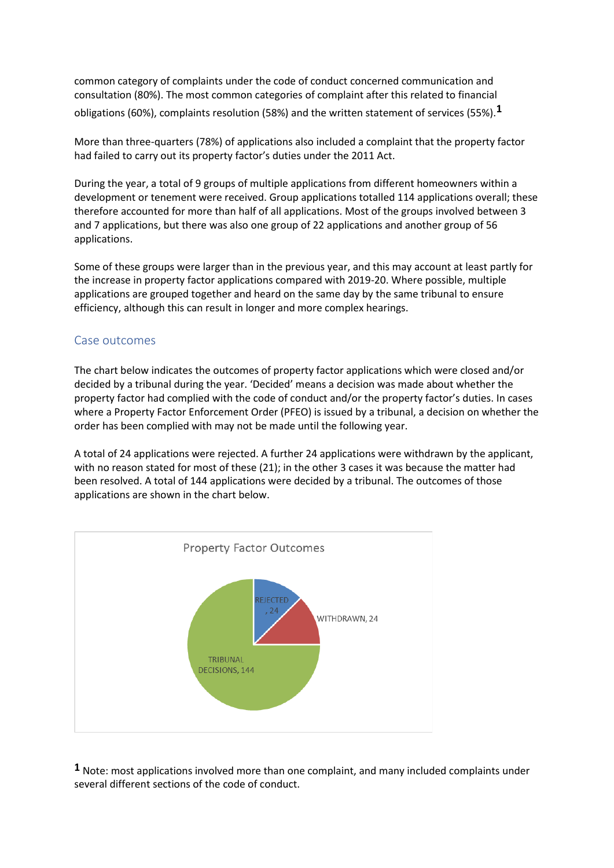common category of complaints under the code of conduct concerned communication and consultation (80%). The most common categories of complaint after this related to financial obligations (60%), complaints resolution (58%) and the written statement of services (55%).**1**

More than three-quarters (78%) of applications also included a complaint that the property factor had failed to carry out its property factor's duties under the 2011 Act.

During the year, a total of 9 groups of multiple applications from different homeowners within a development or tenement were received. Group applications totalled 114 applications overall; these therefore accounted for more than half of all applications. Most of the groups involved between 3 and 7 applications, but there was also one group of 22 applications and another group of 56 applications.

Some of these groups were larger than in the previous year, and this may account at least partly for the increase in property factor applications compared with 2019-20. Where possible, multiple applications are grouped together and heard on the same day by the same tribunal to ensure efficiency, although this can result in longer and more complex hearings.

# Case outcomes

The chart below indicates the outcomes of property factor applications which were closed and/or decided by a tribunal during the year. 'Decided' means a decision was made about whether the property factor had complied with the code of conduct and/or the property factor's duties. In cases where a Property Factor Enforcement Order (PFEO) is issued by a tribunal, a decision on whether the order has been complied with may not be made until the following year.

A total of 24 applications were rejected. A further 24 applications were withdrawn by the applicant, with no reason stated for most of these (21); in the other 3 cases it was because the matter had been resolved. A total of 144 applications were decided by a tribunal. The outcomes of those applications are shown in the chart below.



**1** Note: most applications involved more than one complaint, and many included complaints under several different sections of the code of conduct.